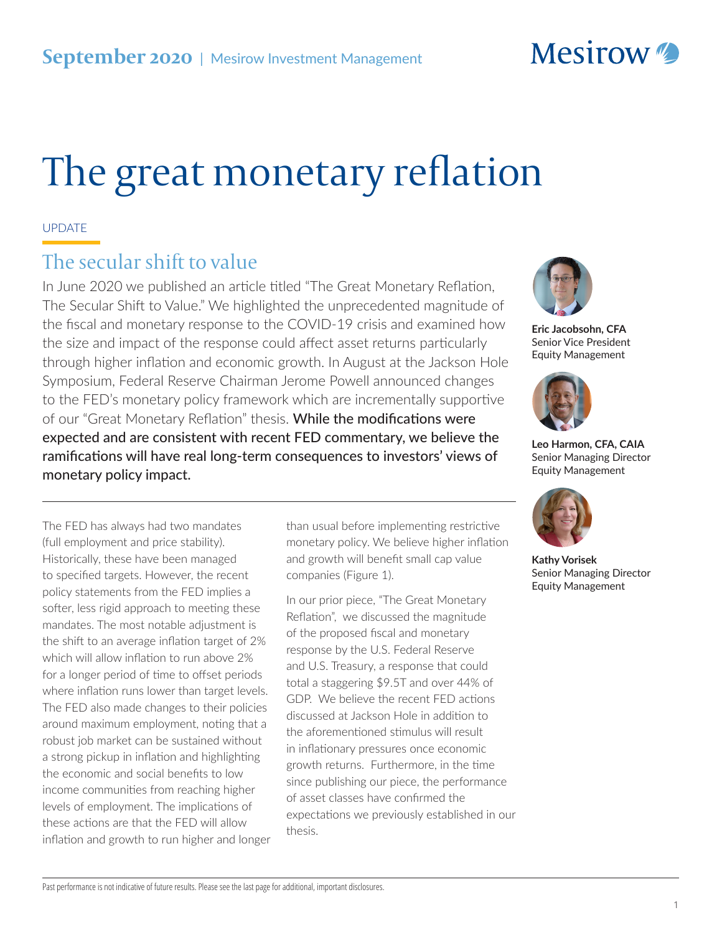# The great monetary reflation

#### UPDATE

## The secular shift to value

In June 2020 we published an article titled "The Great Monetary Reflation, The Secular Shift to Value." We highlighted the unprecedented magnitude of the fiscal and monetary response to the COVID-19 crisis and examined how the size and impact of the response could affect asset returns particularly through higher inflation and economic growth. In August at the Jackson Hole Symposium, Federal Reserve Chairman Jerome Powell announced changes to the FED's monetary policy framework which are incrementally supportive of our "Great Monetary Reflation" thesis. While the modifications were expected and are consistent with recent FED commentary, we believe the ramifications will have real long-term consequences to investors' views of monetary policy impact.

The FED has always had two mandates (full employment and price stability). Historically, these have been managed to specified targets. However, the recent policy statements from the FED implies a softer, less rigid approach to meeting these mandates. The most notable adjustment is the shift to an average inflation target of 2% which will allow inflation to run above 2% for a longer period of time to offset periods where inflation runs lower than target levels. The FED also made changes to their policies around maximum employment, noting that a robust job market can be sustained without a strong pickup in inflation and highlighting the economic and social benefits to low income communities from reaching higher levels of employment. The implications of these actions are that the FED will allow inflation and growth to run higher and longer

than usual before implementing restrictive monetary policy. We believe higher inflation and growth will benefit small cap value companies (Figure 1).

In our prior piece, "The Great Monetary Reflation", we discussed the magnitude of the proposed fiscal and monetary response by the U.S. Federal Reserve and U.S. Treasury, a response that could total a staggering \$9.5T and over 44% of GDP. We believe the recent FED actions discussed at Jackson Hole in addition to the aforementioned stimulus will result in inflationary pressures once economic growth returns. Furthermore, in the time since publishing our piece, the performance of asset classes have confirmed the expectations we previously established in our thesis.



**Eric Jacobsohn, CFA** Senior Vice President Equity Management



**Leo Harmon, CFA, CAIA** Senior Managing Director Equity Management



**Kathy Vorisek** Senior Managing Director Equity Management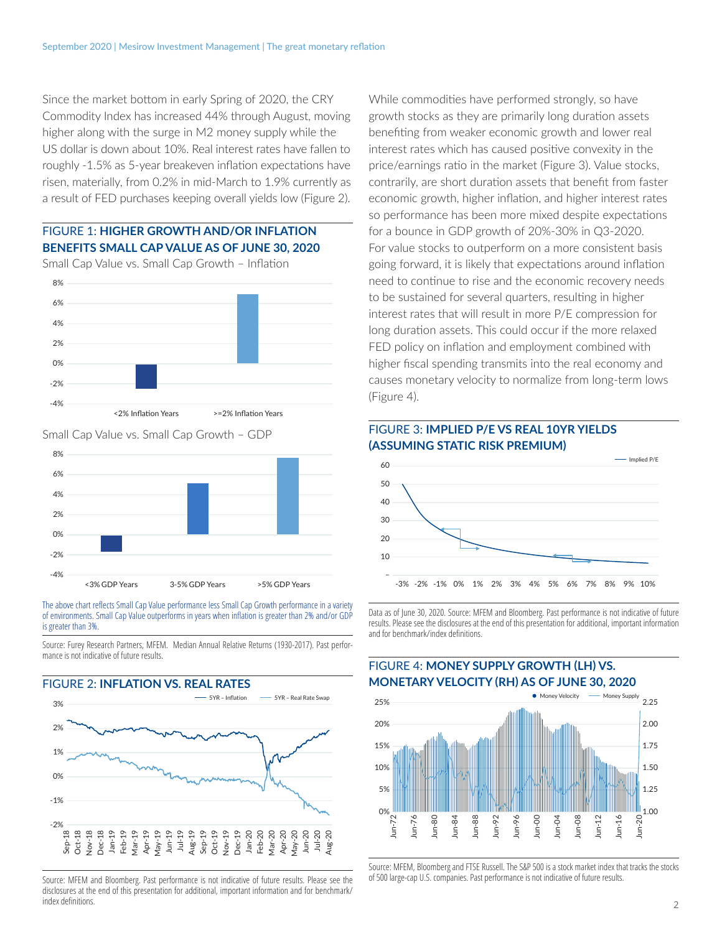Since the market bottom in early Spring of 2020, the CRY Commodity Index has increased 44% through August, moving higher along with the surge in M2 money supply while the US dollar is down about 10%. Real interest rates have fallen to roughly -1.5% as 5-year breakeven inflation expectations have risen, materially, from 0.2% in mid-March to 1.9% currently as a result of FED purchases keeping overall yields low (Figure 2).

#### FIGURE 1: **HIGHER GROWTH AND/OR INFLATION BENEFITS SMALL CAP VALUE AS OF JUNE 30, 2020**



Small Cap Value vs. Small Cap Growth – GDP



The above chart reflects Small Cap Value performance less Small Cap Growth performance in a variety of environments. Small Cap Value outperforms in years when inflation is greater than 2% and/or GDP is greater than 3%.

Source: Furey Research Partners, MFEM. Median Annual Relative Returns (1930-2017). Past performance is not indicative of future results.

FIGURE 2: **INFLATION VS. REAL RATES** -2%  $\Omega$ % 2% 3%  $-1%$ 1% Sep-18 Oct-18 Nov-18 Dec-18 Jan-19 Feb-19 Jul-20 Mar-20 Apr-19 May-19 Jun-19 Jul-19 Aug-19 Sep-19 Oct-19 Nov-19 Dec-19 Jan-20 Feb-20 May-20 Mar-19 Apr-20 Jun-20 Aug-20 - 5YR – Inflation - <del>- 5YR</del> – Real Rate Swar

Source: MFEM and Bloomberg. Past performance is not indicative of future results. Please see the disclosures at the end of this presentation for additional, important information and for benchmark/ index definitions. 2

While commodities have performed strongly, so have growth stocks as they are primarily long duration assets benefiting from weaker economic growth and lower real interest rates which has caused positive convexity in the price/earnings ratio in the market (Figure 3). Value stocks, contrarily, are short duration assets that benefit from faster economic growth, higher inflation, and higher interest rates so performance has been more mixed despite expectations for a bounce in GDP growth of 20%-30% in Q3-2020. For value stocks to outperform on a more consistent basis going forward, it is likely that expectations around inflation need to continue to rise and the economic recovery needs to be sustained for several quarters, resulting in higher interest rates that will result in more P/E compression for long duration assets. This could occur if the more relaxed FED policy on inflation and employment combined with higher fiscal spending transmits into the real economy and causes monetary velocity to normalize from long-term lows (Figure 4).

#### FIGURE 3: **IMPLIED P/E VS REAL 10YR YIELDS (ASSUMING STATIC RISK PREMIUM)**



Data as of June 30, 2020. Source: MFEM and Bloomberg. Past performance is not indicative of future results. Please see the disclosures at the end of this presentation for additional, important information and for benchmark/index definitions.

#### FIGURE 4: **MONEY SUPPLY GROWTH (LH) VS. MONETARY VELOCITY (RH) AS OF JUNE 30, 2020** • Money Velocity - Money Supply



Source: MFEM, Bloomberg and FTSE Russell. The S&P 500 is a stock market index that tracks the stocks of 500 large-cap U.S. companies. Past performance is not indicative of future results.